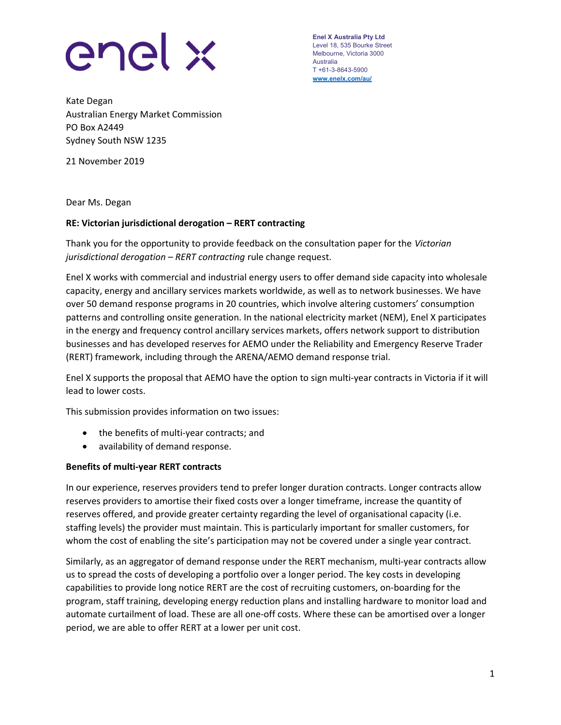

Enel X Australia Pty Ltd Level 18, 535 Bourke Street Melbourne, Victoria 3000 Australia T +61-3-8643-5900 www.enelx.com/au/

Kate Degan Australian Energy Market Commission PO Box A2449 Sydney South NSW 1235

21 November 2019

Dear Ms. Degan

## RE: Victorian jurisdictional derogation – RERT contracting

Thank you for the opportunity to provide feedback on the consultation paper for the Victorian jurisdictional derogation - RERT contracting rule change request.

Enel X works with commercial and industrial energy users to offer demand side capacity into wholesale capacity, energy and ancillary services markets worldwide, as well as to network businesses. We have over 50 demand response programs in 20 countries, which involve altering customers' consumption patterns and controlling onsite generation. In the national electricity market (NEM), Enel X participates in the energy and frequency control ancillary services markets, offers network support to distribution businesses and has developed reserves for AEMO under the Reliability and Emergency Reserve Trader (RERT) framework, including through the ARENA/AEMO demand response trial.

Enel X supports the proposal that AEMO have the option to sign multi-year contracts in Victoria if it will lead to lower costs.

This submission provides information on two issues:

- the benefits of multi-year contracts; and
- availability of demand response.

## Benefits of multi-year RERT contracts

In our experience, reserves providers tend to prefer longer duration contracts. Longer contracts allow reserves providers to amortise their fixed costs over a longer timeframe, increase the quantity of reserves offered, and provide greater certainty regarding the level of organisational capacity (i.e. staffing levels) the provider must maintain. This is particularly important for smaller customers, for whom the cost of enabling the site's participation may not be covered under a single year contract.

Similarly, as an aggregator of demand response under the RERT mechanism, multi-year contracts allow us to spread the costs of developing a portfolio over a longer period. The key costs in developing capabilities to provide long notice RERT are the cost of recruiting customers, on-boarding for the program, staff training, developing energy reduction plans and installing hardware to monitor load and automate curtailment of load. These are all one-off costs. Where these can be amortised over a longer period, we are able to offer RERT at a lower per unit cost.